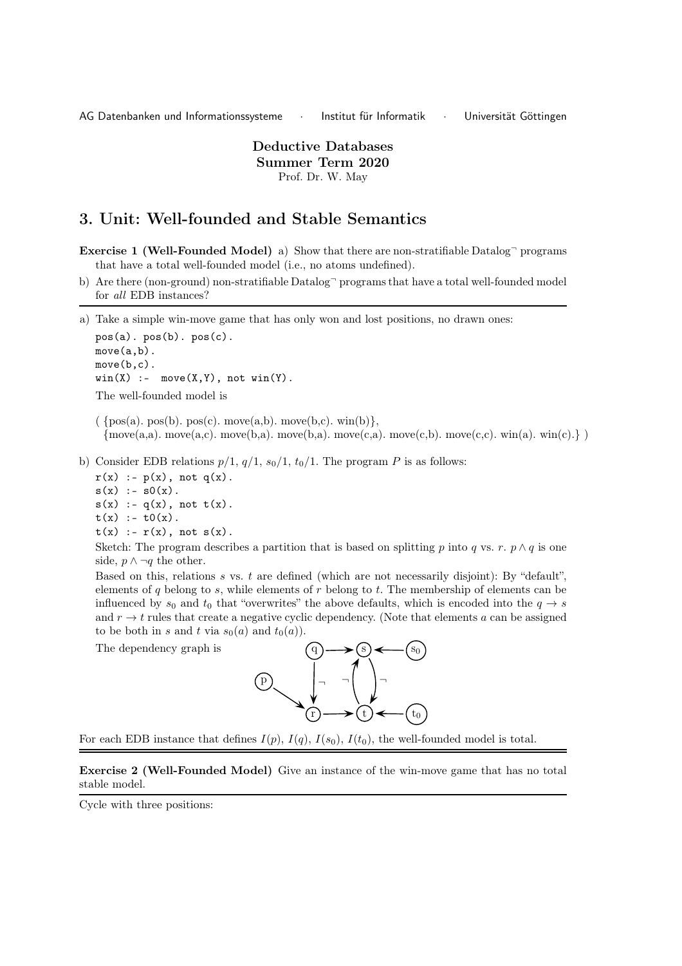AG Datenbanken und Informationssysteme · Institut für Informatik · Universität Göttingen

Deductive Databases Summer Term 2020 Prof. Dr. W. May

## 3. Unit: Well-founded and Stable Semantics

- **Exercise 1 (Well-Founded Model)** a) Show that there are non-stratifiable Datalog $\degree$  programs that have a total well-founded model (i.e., no atoms undefined).
- b) Are there (non-ground) non-stratifiable Datalog<sup>-</sup> programs that have a total well-founded model for all EDB instances?

a) Take a simple win-move game that has only won and lost positions, no drawn ones:

pos(a). pos(b). pos(c). move(a,b). move(b,c).  $win(X)$  :- move $(X, Y)$ , not  $win(Y)$ . The well-founded model is

 $({\text{pos}(a), pos(b), pos(c), move(a,b), move(b,c), win(b)},$  ${\rm move}(a,a)$ . move $(a,c)$ . move $(b,a)$ . move $(c,a)$ . move $(c,b)$ . move $(c,c)$ . win $(a)$ . win $(c)$ .

b) Consider EDB relations  $p/1$ ,  $q/1$ ,  $s_0/1$ ,  $t_0/1$ . The program P is as follows:

 $r(x)$  :-  $p(x)$ , not  $q(x)$ .  $s(x) := s0(x)$ .  $s(x)$  :-  $q(x)$ , not  $t(x)$ .  $t(x) := t0(x)$ .

 $t(x)$  :-  $r(x)$ , not  $s(x)$ .

The dependency graph is

Sketch: The program describes a partition that is based on splitting p into q vs. r.  $p \wedge q$  is one side,  $p \wedge \neg q$  the other.

Based on this, relations  $s$  vs.  $t$  are defined (which are not necessarily disjoint): By "default", elements of q belong to s, while elements of  $r$  belong to  $t$ . The membership of elements can be influenced by  $s_0$  and  $t_0$  that "overwrites" the above defaults, which is encoded into the  $q \to s$ and  $r \to t$  rules that create a negative cyclic dependency. (Note that elements a can be assigned to be both in s and t via  $s_0(a)$  and  $t_0(a)$ ).



For each EDB instance that defines  $I(p)$ ,  $I(q)$ ,  $I(s_0)$ ,  $I(t_0)$ , the well-founded model is total.

Exercise 2 (Well-Founded Model) Give an instance of the win-move game that has no total stable model.

Cycle with three positions: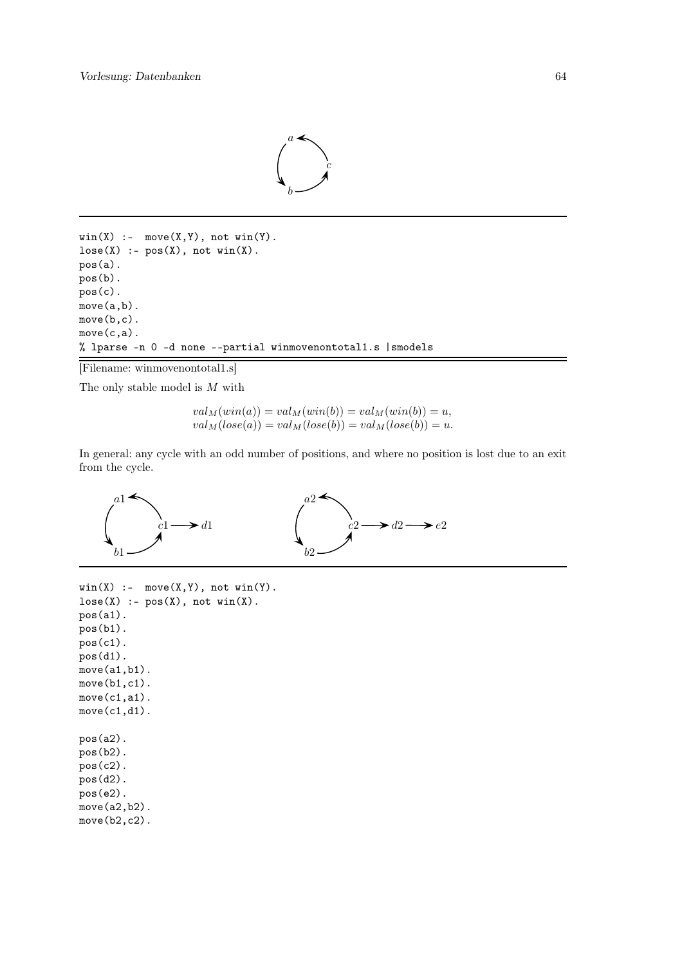

```
win(X) :- move(X,Y), not win(Y).
lose(X) :- pos(X), not win(X).pos(a).
pos(b).
pos(c).
move(a,b).
move(b,c).
move(c,a).
% lparse -n 0 -d none --partial winmovenontotal1.s |smodels
```

```
[Filename: winmovenontotal1.s]
```
The only stable model is  $M$  with

$$
val_M(win(a)) = val_M(win(b)) = val_M(win(b)) = u,
$$
  
\n
$$
val_M(lose(a)) = val_M( lose(b)) = val_M(lose(b)) = u.
$$

In general: any cycle with an odd number of positions, and where no position is lost due to an exit from the cycle.



```
win(X) :- move(X,Y), not win(Y).
lose(X) :- pos(X), not win(X).pos(a1).
pos(b1).
pos(c1).
pos(d1).
move(a1,b1).
move(b1,c1).
move(c1,a1).
move(c1,d1).
pos(a2).
pos(b2).
pos(c2).
pos(d2).
pos(e2).
move(a2,b2).
move(b2,c2).
```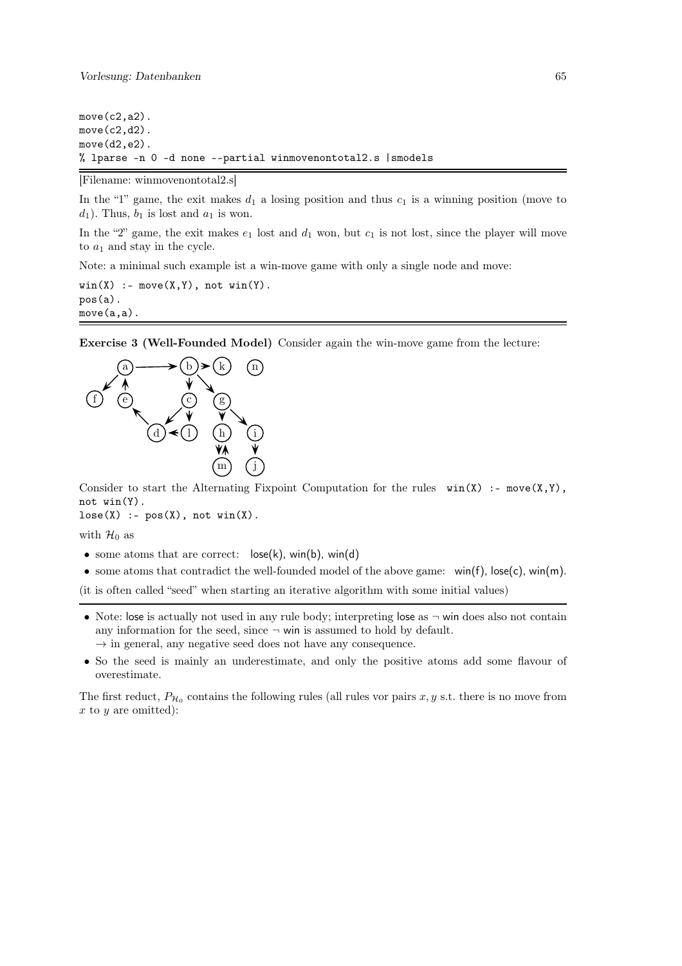```
move(c2,a2).
move(c2,d2).
move(d2,e2).
% lparse -n 0 -d none --partial winmovenontotal2.s |smodels
```
[Filename: winmovenontotal2.s]

In the "1" game, the exit makes  $d_1$  a losing position and thus  $c_1$  is a winning position (move to  $d_1$ ). Thus,  $b_1$  is lost and  $a_1$  is won.

In the "2" game, the exit makes  $e_1$  lost and  $d_1$  won, but  $c_1$  is not lost, since the player will move to  $a_1$  and stay in the cycle.

Note: a minimal such example ist a win-move game with only a single node and move:

 $win(X) := move(X,Y)$ , not  $win(Y)$ . pos(a). move(a,a).

Exercise 3 (Well-Founded Model) Consider again the win-move game from the lecture:



Consider to start the Alternating Fixpoint Computation for the rules  $win(X)$ : - move $(X,Y)$ , not win(Y).

 $lose(X) :- pos(X), not win(X).$ 

with  $\mathcal{H}_0$  as

- some atoms that are correct:  $\log(k)$ , win(b), win(d)
- some atoms that contradict the well-founded model of the above game: win(f), lose(c), win(m).

(it is often called "seed" when starting an iterative algorithm with some initial values)

- Note: lose is actually not used in any rule body; interpreting lose as  $\neg$  win does also not contain any information for the seed, since  $\neg$  win is assumed to hold by default.
	- $\rightarrow$  in general, any negative seed does not have any consequence.
- So the seed is mainly an underestimate, and only the positive atoms add some flavour of overestimate.

The first reduct,  $P_{\mathcal{H}_0}$  contains the following rules (all rules vor pairs x, y s.t. there is no move from  $x$  to  $y$  are omitted):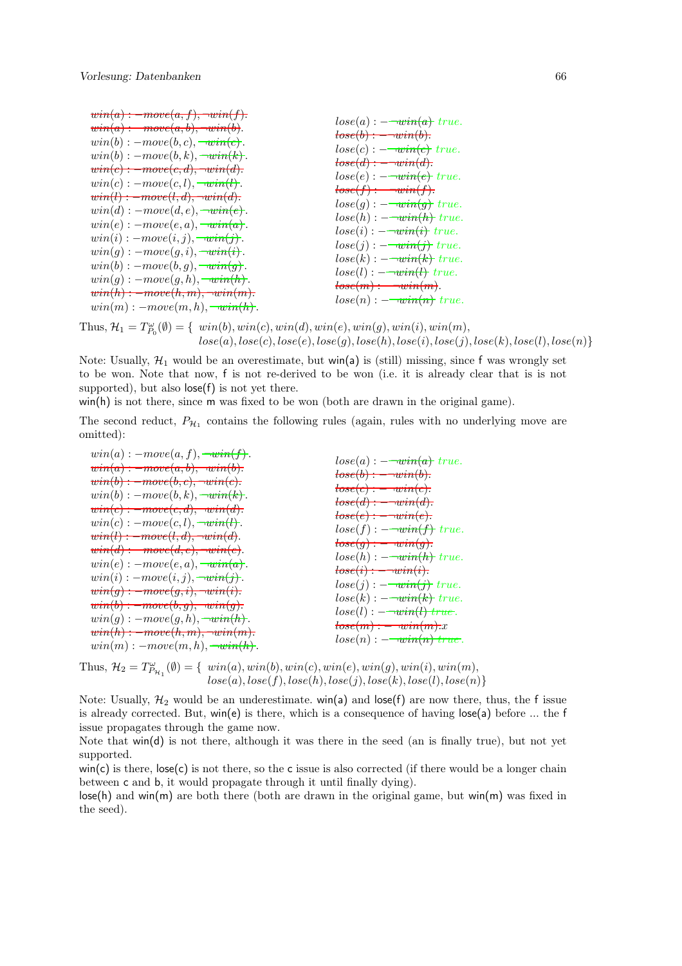```
win(a) : \textit{—move}(a, f), \textit{—win}(f).win(a) : \textit{—move}(a, b), \textit{—win}(b).win(b) : -move(b, c), \overline{\neg win(c)}.win(b) : -move(b, k), \overline{\neg win(k)}.win(c) : = move(c, d), \neg win(d).win(c) : -move(c, l), \rightarrow with(l).win(l) : = move(l, d), \quad win(d).win(d): -move(d, e), -win(e).win(e) : -move(e, a), -win(a).win(i) : -move(i, j), \overline{\neg win(j)}.win(g) : -move(g, i), \overline{\neg win(i)}.win(b) : -move(b, g), -win(g).
win(q) : -move(q, h), \neg win(h).win(h) : = move(h, m), \quad win(m).win(m) : -move(m, h), \overline{\neg win(h)}.lose(a) : -\overline{win(a)} true.lose(b) := \neg win(b).lose(c) : -\overline{win(c)} true.\textit{lose}(d) := \textit{win}(d).
                                                                  lose(e) : -\overline{\text{win}(e)} \ true.lose(f) := \neg win(f).lose(g) : -\overline{win(g)} true.lose(h) : -\overline{\text{win}(h)} \ true.lose(i) : -\overline{\text{win}(i)} \ true.lose(j) : -\overline{win(j)} true.lose(k) : -\overline{\text{win}(k)} \ \text{true}.lose(l) : -\overline{\text{win}(l)} \ true.lose(m) := \neg win(m).lose(n) : -\overline{\text{win}(n)} \ true.
```
Thus,  $\mathcal{H}_1 = T_{P_0}^{\omega}(\emptyset) = \{ \; win(b), win(c), win(d), win(e), win(g), win(i), win(m), \}$  $lose(a), lose(c), lose(e), lose(g), lose(h), lose(i), lose(j), lose(k), lose(l), lose(n) \}$ 

Note: Usually,  $\mathcal{H}_1$  would be an overestimate, but win(a) is (still) missing, since f was wrongly set to be won. Note that now, f is not re-derived to be won (i.e. it is already clear that is is not supported), but also  $\mathsf{lose}(f)$  is not yet there.

win(h) is not there, since m was fixed to be won (both are drawn in the original game).

The second reduct,  $P_{\mathcal{H}_1}$  contains the following rules (again, rules with no underlying move are omitted):

| $win(a) : -move(a, f), \neg win(f).$<br>$\text{win}(a) : \text{--move}(a, b), \neg \text{win}(b).$<br>$\textit{win}(b) : \textit{=move}(b, c), \textit{=write}(c).$<br>$win(b) : -move(b, k), \neg win(k)$ .<br>$\text{win}(c) : \text{--move}(c, d), \text{--win}(d).$<br>$win(c) : -move(c, l), \neg win(l).$<br>$win(l) : = move(l, d), \neg win(d).$<br>$\text{win}(d) : = \text{move}(d, e), \neg \text{win}(e).$<br>$win(e) : -move(e, a), \neg win(a).$<br>$win(i) : -move(i, j), \overline{\neg win(j)}.$<br>$win(g) : = move(g, i), \quad win(i).$<br>$\text{win}(b) : \text{--move}(b, g), \text{--win}(g).$<br>$win(g) : -move(g, h), \neg win(h).$<br>$win(h) : = move(h, m), \quad win(m).$ | $lose(a) : -\overline{win(a)} true.$<br>$lose(b) := \overline{win(b)}$ .<br>$tose(c) := \textit{win}(c).$<br>$tose(d) : -win(d)$ .<br>$tose(e) : -win(e).$<br>$lose(f) : -\overline{win(f)} true.$<br>$tose(g) := \neg win(g)$ .<br>$lose(h) : -\overline{\neg win(h)} true.$<br>$tose(i) := \text{win}(i).$<br>$lose(j) : -\overline{win(j)} true.$<br>$lose(k) : -\overline{win(k)} true.$<br>$lose(l) : -\overline{\psi}(l)$ true.<br>$tose(m) := \textit{win}(m).x$ |
|----------------------------------------------------------------------------------------------------------------------------------------------------------------------------------------------------------------------------------------------------------------------------------------------------------------------------------------------------------------------------------------------------------------------------------------------------------------------------------------------------------------------------------------------------------------------------------------------------------------------------------------------------------------------------------------------------------|-------------------------------------------------------------------------------------------------------------------------------------------------------------------------------------------------------------------------------------------------------------------------------------------------------------------------------------------------------------------------------------------------------------------------------------------------------------------------|
| $win(m) : -move(m, h), \neg win(h).$                                                                                                                                                                                                                                                                                                                                                                                                                                                                                                                                                                                                                                                                     | $lose(n) : -\overline{\text{win}(n)} \; true.$                                                                                                                                                                                                                                                                                                                                                                                                                          |

Thus,  $\mathcal{H}_2 = T^{\omega}_{P_{\mathcal{H}_1}}(\emptyset) = \{ \; win(a), win(b), win(c), win(e), win(g), win(i), win(m), \}$  $lose(a), lose(f), lose(h), lose(j), lose(k), lose(l), lose(n) \}$ 

Note: Usually,  $\mathcal{H}_2$  would be an underestimate. win(a) and lose(f) are now there, thus, the f issue is already corrected. But, win(e) is there, which is a consequence of having lose(a) before ... the f issue propagates through the game now.

Note that win(d) is not there, although it was there in the seed (an is finally true), but not yet supported.

 $win(c)$  is there,  $lose(c)$  is not there, so the c issue is also corrected (if there would be a longer chain between c and b, it would propagate through it until finally dying).

lose(h) and win(m) are both there (both are drawn in the original game, but win(m) was fixed in the seed).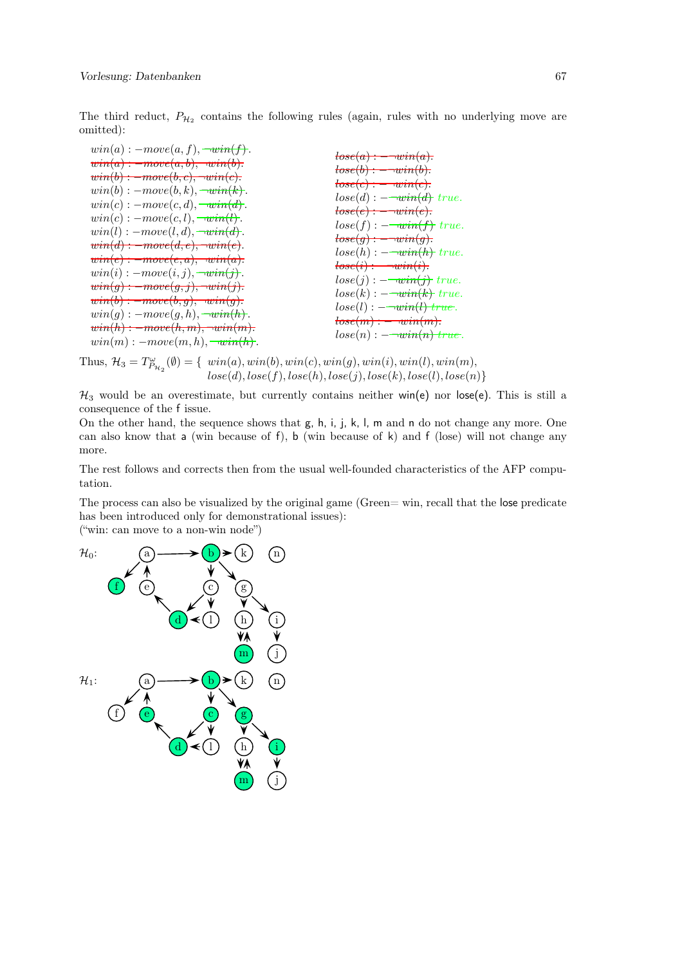The third reduct,  $P_{\mathcal{H}_2}$  contains the following rules (again, rules with no underlying move are omitted):

| $win(a) : -move(a, f), \overline{\neg win(f)}.$               | $tose(a) := \neg win(a).$                                                                                                                                                                                                                                                                                                                                                                                                                                                                                                                                                                                                         |
|---------------------------------------------------------------|-----------------------------------------------------------------------------------------------------------------------------------------------------------------------------------------------------------------------------------------------------------------------------------------------------------------------------------------------------------------------------------------------------------------------------------------------------------------------------------------------------------------------------------------------------------------------------------------------------------------------------------|
| $\text{win}(a) : \text{--move}(a, b), \text{--win}(b).$       | $tose(b) : -win(b)$ .                                                                                                                                                                                                                                                                                                                                                                                                                                                                                                                                                                                                             |
| $\textit{win}(b) : \textit{=move}(b, c), \textit{=win}(c).$   |                                                                                                                                                                                                                                                                                                                                                                                                                                                                                                                                                                                                                                   |
| $win(b) : -move(b, k), \neg win(k)$ .                         | $tose(c) := \neg win(c)$ .                                                                                                                                                                                                                                                                                                                                                                                                                                                                                                                                                                                                        |
| $win(c) : -move(c, d), \neg win(d).$                          | $lose(d) : -\overline{\text{win}(d)} \ true.$                                                                                                                                                                                                                                                                                                                                                                                                                                                                                                                                                                                     |
| $win(c) : -move(c, l), \neg win(l).$                          | $tose(e) : \underline{\hspace{2cm}} \underline{\hspace{2cm}} \underline{\hspace{2cm}} \underline{\hspace{2cm}} \underline{\hspace{2cm}} \underline{\hspace{2cm}} \underline{\hspace{2cm}} \underline{\hspace{2cm}} \underline{\hspace{2cm}} \underline{\hspace{2cm}} \underline{\hspace{2cm}} \underline{\hspace{2cm}} \underline{\hspace{2cm}} \underline{\hspace{2cm}} \underline{\hspace{2cm}} \underline{\hspace{2cm}} \underline{\hspace{2cm}} \underline{\hspace{2cm}} \underline{\hspace{2cm}} \underline{\hspace{2cm}} \underline{\hspace{2cm}} \underline{\hspace{2cm}} \underline{\hspace{2cm}} \underline{\hspace{2cm$ |
| $win(l) : -move(l, d), \neg win(d).$                          | $lose(f) : -\overline{\neg win(f)} true.$                                                                                                                                                                                                                                                                                                                                                                                                                                                                                                                                                                                         |
|                                                               | $tose(g) := \neg win(g)$ .                                                                                                                                                                                                                                                                                                                                                                                                                                                                                                                                                                                                        |
| $\textit{win}(d) : \textit{--move}(d, e), \textit{--win}(e).$ | $lose(h) : -\overline{\text{win}(h)} \ true.$                                                                                                                                                                                                                                                                                                                                                                                                                                                                                                                                                                                     |
| $\textit{win}(e) : \textit{--move}(e, a), \textit{--win}(a).$ | $tose(i) : -win(i).$                                                                                                                                                                                                                                                                                                                                                                                                                                                                                                                                                                                                              |
| $win(i) : -move(i, j), \overline{\neg win(j)}.$               | $lose(j) : -\overline{win(j)} true.$                                                                                                                                                                                                                                                                                                                                                                                                                                                                                                                                                                                              |
| $\text{win}(g) : \text{--move}(g, j), \text{--win}(j).$       | $lose(k) : -\overline{\text{win}(k)} \ true.$                                                                                                                                                                                                                                                                                                                                                                                                                                                                                                                                                                                     |
| $\textit{win}(b) : \textit{=move}(b, g), \textit{=win}(g).$   | $lose(l) : -\overline{\text{win}(l)} \; true.$                                                                                                                                                                                                                                                                                                                                                                                                                                                                                                                                                                                    |
| $win(q) : -move(q, h), \neg with(h).$                         |                                                                                                                                                                                                                                                                                                                                                                                                                                                                                                                                                                                                                                   |
| $win(h) : = move(h, m), \neg win(m).$                         | $tose(m) := -win(m)$ .                                                                                                                                                                                                                                                                                                                                                                                                                                                                                                                                                                                                            |
| $win(m) : -move(m, h), \neg win(h).$                          | $lose(n) : -\overline{\text{win}(n)} \text{ true}.$                                                                                                                                                                                                                                                                                                                                                                                                                                                                                                                                                                               |

Thus,  $\mathcal{H}_3 = T^{\omega}_{\mathcal{P}_{\mathcal{H}_2}}(\emptyset) = \{ \; win(a), win(b), win(c), win(g), win(i), win(m),$  $lose(d), lose(f), lose(h), lose(j), lose(k), lose(l), lose(n)\}$ 

 $\mathcal{H}_3$  would be an overestimate, but currently contains neither win(e) nor lose(e). This is still a consequence of the f issue.

On the other hand, the sequence shows that g, h, i, j, k, l, m and n do not change any more. One can also know that a (win because of f), b (win because of  $k$ ) and  $f$  (lose) will not change any more.

The rest follows and corrects then from the usual well-founded characteristics of the AFP computation.

The process can also be visualized by the original game (Green= win, recall that the lose predicate has been introduced only for demonstrational issues):

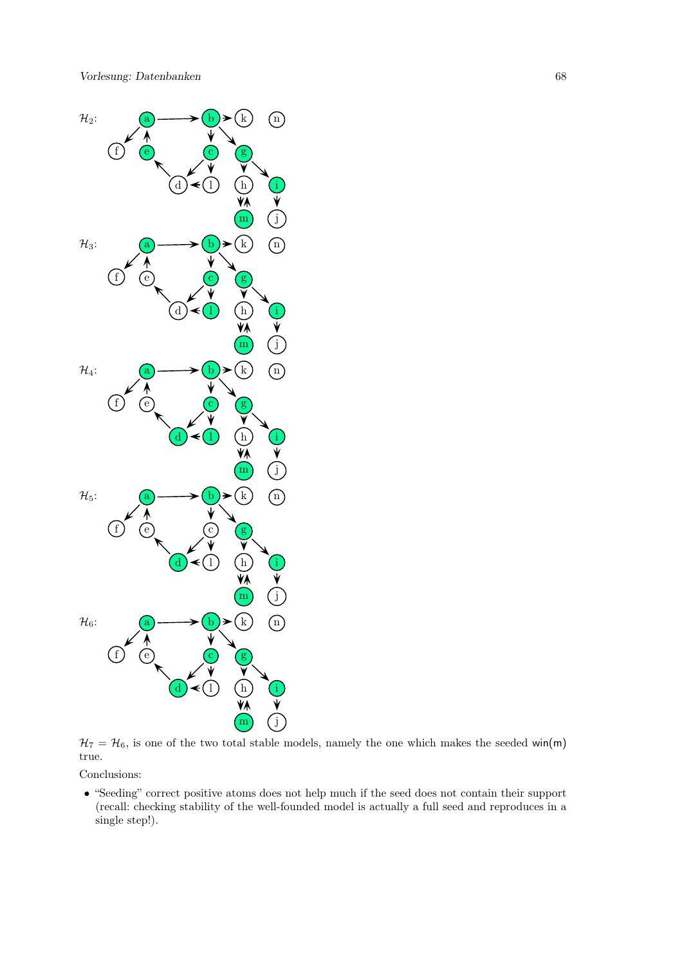

 $H_7 = H_6$ , is one of the two total stable models, namely the one which makes the seeded win(m) true.

Conclusions:

• "Seeding" correct positive atoms does not help much if the seed does not contain their support (recall: checking stability of the well-founded model is actually a full seed and reproduces in a single step!).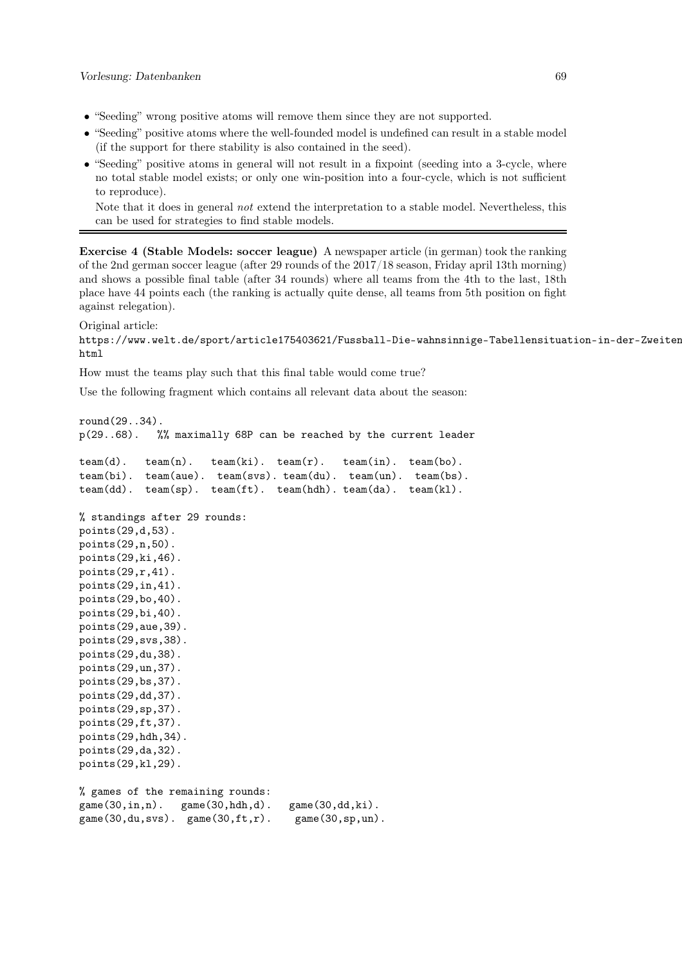- "Seeding" wrong positive atoms will remove them since they are not supported.
- "Seeding" positive atoms where the well-founded model is undefined can result in a stable model (if the support for there stability is also contained in the seed).
- "Seeding" positive atoms in general will not result in a fixpoint (seeding into a 3-cycle, where no total stable model exists; or only one win-position into a four-cycle, which is not sufficient to reproduce).

Note that it does in general not extend the interpretation to a stable model. Nevertheless, this can be used for strategies to find stable models.

Exercise 4 (Stable Models: soccer league) A newspaper article (in german) took the ranking of the 2nd german soccer league (after 29 rounds of the 2017/18 season, Friday april 13th morning) and shows a possible final table (after 34 rounds) where all teams from the 4th to the last, 18th place have 44 points each (the ranking is actually quite dense, all teams from 5th position on fight against relegation).

Original article:

```
https://www.welt.de/sport/article175403621/Fussball-Die-wahnsinnige-Tabellensituation-in-der-Zweiten-
html
```
How must the teams play such that this final table would come true?

Use the following fragment which contains all relevant data about the season:

```
round(29..34).
p(29..68). %% maximally 68P can be reached by the current leader
\text{team}(d). \text{team}(n). \text{team}(ki). \text{team}(r). \text{team}(in). \text{team}(bo).
team(bi). team(aue). team(svs). team(du). team(un). team(bs).
team(dd). team(sp). team(ft). team(hdh). team(da). team(kl).
% standings after 29 rounds:
points(29,d,53).
points(29,n,50).
points(29,ki,46).
points(29,r,41).
points(29,in,41).
points(29,bo,40).
points(29,bi,40).
points(29,aue,39).
points(29,svs,38).
points(29,du,38).
points(29,un,37).
points(29,bs,37).
points(29,dd,37).
points(29,sp,37).
points(29,ft,37).
points(29,hdh,34).
points(29,da,32).
points(29,kl,29).
% games of the remaining rounds:
game(30,in,n). game(30,hdh,d). game(30,dd,ki).
game(30,du,svs). game(30,ft,r). game(30,sp,un).
```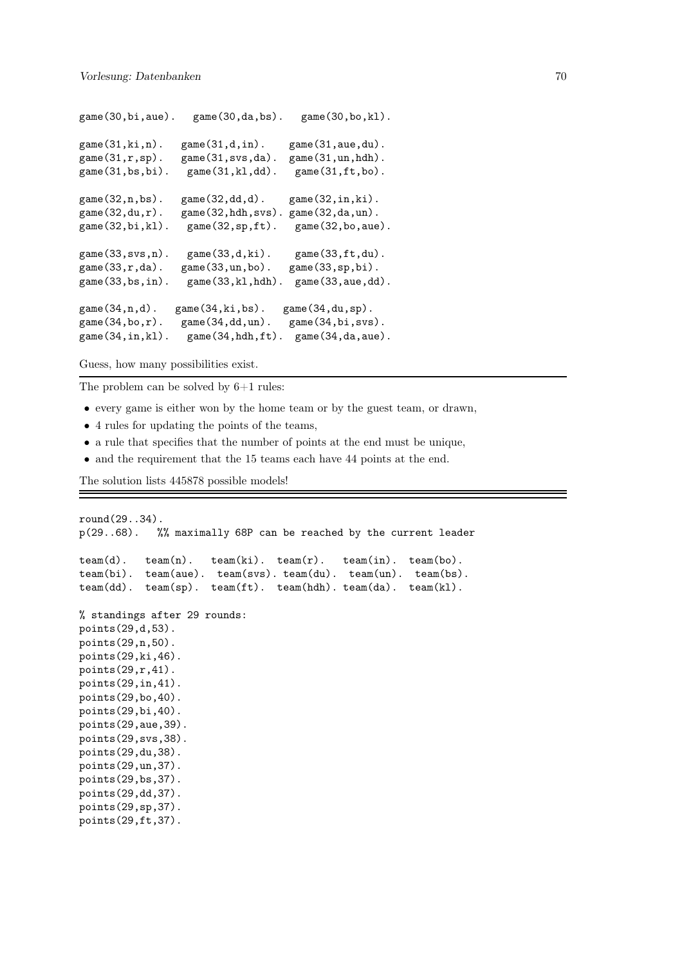```
game(30,bi,aue). game(30,da,bs). game(30,bo,kl).
game(31,ki,n). game(31,d,in). game(31,aue,du).
game(31,r,sp). game(31,svs,da). game(31,un,hdh).
game(31,bs,bi). game(31,kl,dd). game(31,ft,bo).
game(32,n,bs). game(32,dd,d). game(32,in,ki).
game(32,du,r). game(32,hdh,svs). game(32,da,un).
game(32,bi,kl). game(32,sp,ft). game(32,bo,aue).
game(33,svs,n). game(33,d,ki). game(33,ft,du).
game(33,r,da). game(33,un,bo). game(33,sp,bi).
game(33,bs,in). game(33,kl,hdh). game(33,aue,dd).
\text{game}(34,n,d). \text{game}(34,ki,bs). \text{game}(34,du,sp).
game(34,bo,r). game(34,dd,un). game(34,bi,svs).
game(34,in,kl). game(34,hdh,ft). game(34,da,aue).
```
Guess, how many possibilities exist.

The problem can be solved by 6+1 rules:

- every game is either won by the home team or by the guest team, or drawn,
- 4 rules for updating the points of the teams,
- a rule that specifies that the number of points at the end must be unique,
- and the requirement that the 15 teams each have 44 points at the end.

The solution lists 445878 possible models!

```
round(29..34).
p(29..68). %% maximally 68P can be reached by the current leader
\text{team}(d). \text{team}(n). \text{team}(ki). \text{team}(r). \text{team}(in). \text{team}(bo).
team(bi). team(aue). team(svs). team(du). team(un). team(bs).
team(dd). team(sp). team(ft). team(hdh). team(da). team(kl).
% standings after 29 rounds:
points(29,d,53).
points(29,n,50).
points(29,ki,46).
points(29,r,41).
points(29,in,41).
points(29,bo,40).
points(29,bi,40).
points(29,aue,39).
points(29,svs,38).
points(29,du,38).
points(29,un,37).
points(29,bs,37).
points(29,dd,37).
points(29,sp,37).
points(29,ft,37).
```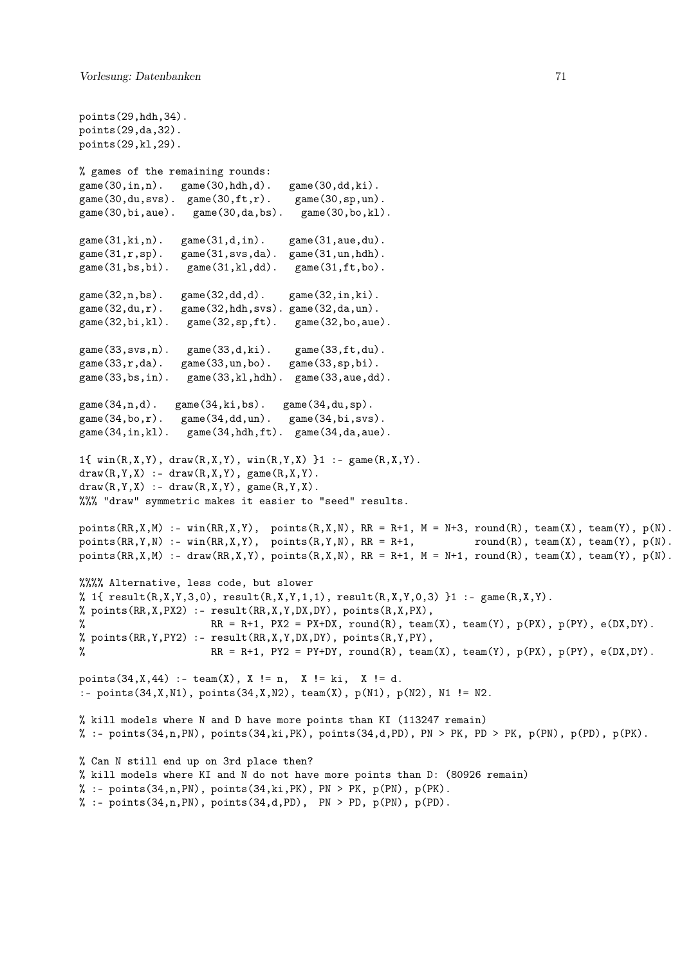```
points(29,hdh,34).
points(29,da,32).
points(29,kl,29).
% games of the remaining rounds:
game(30,in,n). game(30,hdh,d). game(30,dd,ki).
\text{game}(30, \text{du}, \text{svs}). \text{game}(30, \text{ft}, r). \text{game}(30, \text{sp}, \text{un}).
game(30,bi,aue). game(30,da,bs). game(30,bo,kl).
game(31,ki,n). game(31,d,in). game(31,aue,du).
game(31,r,sp). game(31,svs,da). game(31,un,hdh).
game(31,bs,bi). game(31,kl,dd). game(31,ft,bo).
game(32,n,bs). game(32,dd,d). game(32,in,ki).
\text{game}(32, du, r). \text{game}(32,hdh, svs). \text{game}(32, da, un).
game(32,bi,kl). game(32,sp,ft). game(32,bo,aue).
game(33,svs,n). game(33,d,ki). game(33,ft,du).
game(33,r,da). game(33,un,bo). game(33,sp,bi).
game(33,bs,in). game(33,kl,hdh). game(33,aue,dd).
game(34,n,d). game(34,ki,bs). game(34,du,sp).
game(34,bo,r). game(34,dd,un). game(34,bi,svs).
game(34,in,kl). game(34,hdh,ft). game(34,da,aue).
1{ win(R, X, Y), draw(R, X, Y), win(R, Y, X) }1 :- game(R, X, Y).
draw(R, Y, X) :- draw(R, X, Y), game(R, X, Y).
draw(R,Y,X) :- draw(R,X,Y), game(R,Y,X).
%%% "draw" symmetric makes it easier to "seed" results.
points(RR,X,M) :- win(RR,X,Y), points(R,X,N), RR = R+1, M = N+3, round(R), team(X), team(Y), p(N).points(RR,Y,N) :- win(RR,X,Y), points(R,Y,N), RR = R+1, round(R), team(X), team(Y), p(N).points(RR,X,M) :- draw(RR,X,Y), points(R,X,N), RR = R+1, M = N+1, round(R), team(X), team(Y), p(N).%%%% Alternative, less code, but slower
% 1{ result(R,X,Y,3,0), result(R,X,Y,1,1), result(R,X,Y,0,3) }1 :- game(R,X,Y).
% points(RR,X,PX2) :- result(RR,X,Y,DX,DY), points(R,X,PX),
% RR = R+1, PX2 = PX+DX, round(R), team(X), team(Y), p(PX), p(PY), e(DX,DY).
% points(RR,Y,PY2) :- result(RR,X,Y,DX,DY), points(R,Y,PY),
% RR = R+1, PY2 = PY+DY, round(R), team(X), team(Y), p(PX), p(PY), e(DX, DY).
points(34, X, 44) :- team(X), X != n, X != ki, X != d.
:- points(34,X,N1), points(34,X,N2), team(X), p(N1), p(N2), N1 != N2.
% kill models where N and D have more points than KI (113247 remain)
% :- points(34,n,PN), points(34,ki,PK), points(34,d,PD), PN > PK, PD > PK, p(PN), p(PD), p(PK).
% Can N still end up on 3rd place then?
% kill models where KI and N do not have more points than D: (80926 remain)
% :- points(34, n, PN), points(34, ki, PK), PN > PK, p(PN), p(PK).
% :- points(34,n,PN), points(34,d,PD), PN > PD, p(PN), p(PD).
```